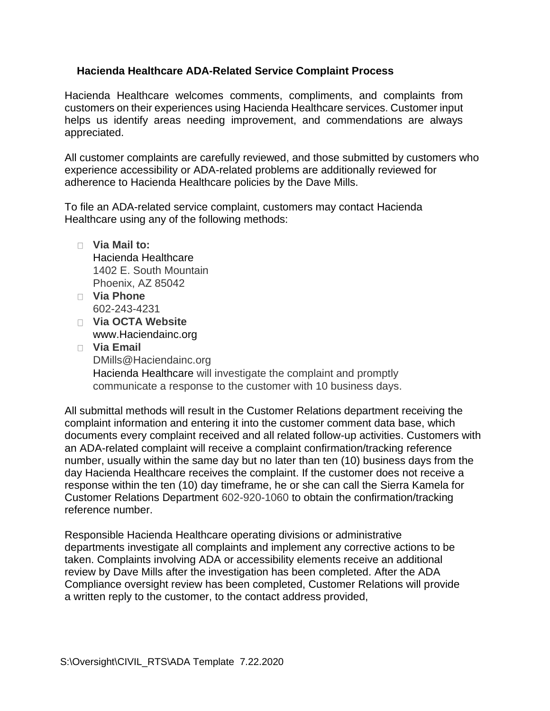## **Hacienda Healthcare ADA-Related Service Complaint Process**

Hacienda Healthcare welcomes comments, compliments, and complaints from customers on their experiences using Hacienda Healthcare services. Customer input helps us identify areas needing improvement, and commendations are always appreciated.

All customer complaints are carefully reviewed, and those submitted by customers who experience accessibility or ADA-related problems are additionally reviewed for adherence to Hacienda Healthcare policies by the Dave Mills.

To file an ADA-related service complaint, customers may contact Hacienda Healthcare using any of the following methods:

- **Via Mail to:** Hacienda Healthcare 1402 E. South Mountain Phoenix, AZ 85042
- **Via Phone** 602-243-4231
- **Via OCTA Website** www.Haciendainc.org
- **Via Email** DMills@Haciendainc.org Hacienda Healthcare will investigate the complaint and promptly communicate a response to the customer with 10 business days.

All submittal methods will result in the Customer Relations department receiving the complaint information and entering it into the customer comment data base, which documents every complaint received and all related follow-up activities. Customers with an ADA-related complaint will receive a complaint confirmation/tracking reference number, usually within the same day but no later than ten (10) business days from the day Hacienda Healthcare receives the complaint. If the customer does not receive a response within the ten (10) day timeframe, he or she can call the Sierra Kamela for Customer Relations Department 602-920-1060 to obtain the confirmation/tracking reference number.

Responsible Hacienda Healthcare operating divisions or administrative departments investigate all complaints and implement any corrective actions to be taken. Complaints involving ADA or accessibility elements receive an additional review by Dave Mills after the investigation has been completed. After the ADA Compliance oversight review has been completed, Customer Relations will provide a written reply to the customer, to the contact address provided,